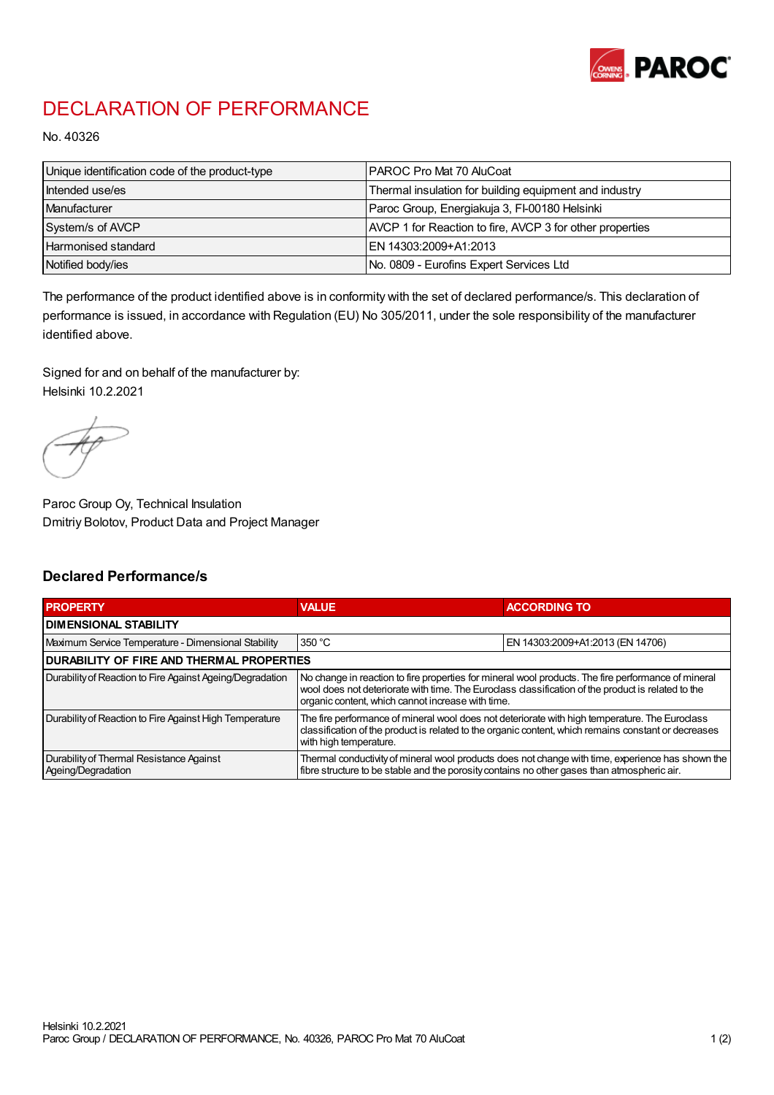

## DECLARATION OF PERFORMANCE

No. 40326

| Unique identification code of the product-type | IPAROC Pro Mat 70 AluCoat                                |
|------------------------------------------------|----------------------------------------------------------|
| Intended use/es                                | Thermal insulation for building equipment and industry   |
| Manufacturer                                   | Paroc Group, Energiakuja 3, FI-00180 Helsinki            |
| System/s of AVCP                               | AVCP 1 for Reaction to fire, AVCP 3 for other properties |
| Harmonised standard                            | IEN 14303:2009+A1:2013                                   |
| Notified body/ies                              | No. 0809 - Eurofins Expert Services Ltd                  |

The performance of the product identified above is in conformity with the set of declared performance/s. This declaration of performance is issued, in accordance with Regulation (EU) No 305/2011, under the sole responsibility of the manufacturer identified above.

Signed for and on behalf of the manufacturer by: Helsinki 10.2.2021

Paroc Group Oy, Technical Insulation Dmitriy Bolotov, Product Data and Project Manager

## Declared Performance/s

| <b>PROPERTY</b>                                                | <b>VALUE</b>                                                                                                                                                                                                                                                   | <b>ACCORDING TO.</b>             |  |
|----------------------------------------------------------------|----------------------------------------------------------------------------------------------------------------------------------------------------------------------------------------------------------------------------------------------------------------|----------------------------------|--|
| <b>DIMENSIONAL STABILITY</b>                                   |                                                                                                                                                                                                                                                                |                                  |  |
| Maximum Service Temperature - Dimensional Stability            | 350 °C                                                                                                                                                                                                                                                         | EN 14303:2009+A1:2013 (EN 14706) |  |
| <b>DURABILITY OF FIRE AND THERMAL PROPERTIES</b>               |                                                                                                                                                                                                                                                                |                                  |  |
| Durability of Reaction to Fire Against Ageing/Degradation      | No change in reaction to fire properties for mineral wool products. The fire performance of mineral<br>wool does not deteriorate with time. The Euroclass classification of the product is related to the<br>organic content, which cannot increase with time. |                                  |  |
| Durability of Reaction to Fire Against High Temperature        | The fire performance of mineral wool does not deteriorate with high temperature. The Euroclass<br>classification of the product is related to the organic content, which remains constant or decreases<br>with high temperature.                               |                                  |  |
| Durability of Thermal Resistance Against<br>Ageing/Degradation | Thermal conductivity of mineral wool products does not change with time, experience has shown the<br>fibre structure to be stable and the porosity contains no other gases than atmospheric air.                                                               |                                  |  |